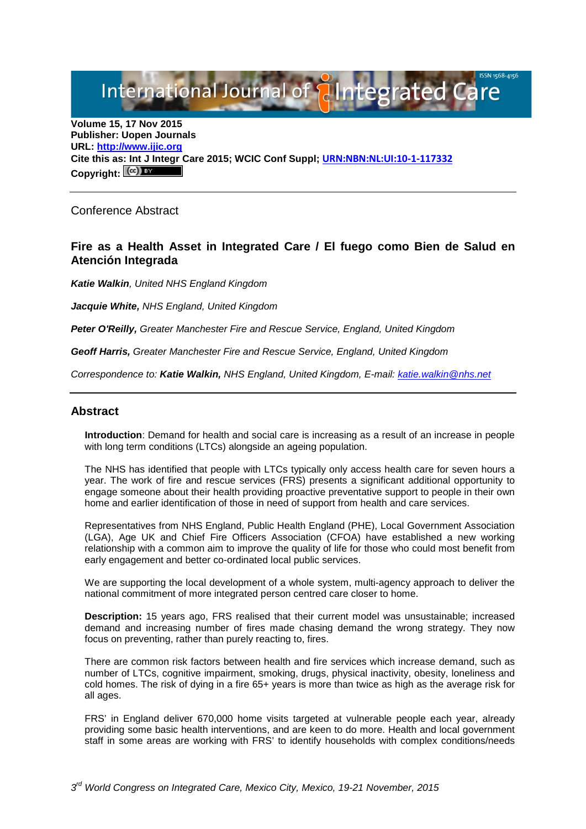International Journal of **Plantegrated Care** 

**Volume 15, 17 Nov 2015 Publisher: Uopen Journals URL: [http://www.ijic.org](http://www.ijic.org/) Cite this as: Int J Integr Care 2015; WCIC Conf Suppl; [URN:NBN:NL:UI:10-1-117332](http://persistent-identifier.nl/?identifier=URN:NBN:NL:UI:10-1-117332)** Copyright:  $(cc)$ 

Conference Abstract

# **Fire as a Health Asset in Integrated Care / El fuego como Bien de Salud en Atención Integrada**

*Katie Walkin, United NHS England Kingdom*

*Jacquie White, NHS England, United Kingdom*

*Peter O'Reilly, Greater Manchester Fire and Rescue Service, England, United Kingdom*

*Geoff Harris, Greater Manchester Fire and Rescue Service, England, United Kingdom*

*Correspondence to: Katie Walkin, NHS England, United Kingdom, E-mail: [katie.walkin@nhs.net](mailto:katie.walkin@nhs.net)*

### **Abstract**

**Introduction**: Demand for health and social care is increasing as a result of an increase in people with long term conditions (LTCs) alongside an ageing population.

The NHS has identified that people with LTCs typically only access health care for seven hours a year. The work of fire and rescue services (FRS) presents a significant additional opportunity to engage someone about their health providing proactive preventative support to people in their own home and earlier identification of those in need of support from health and care services.

Representatives from NHS England, Public Health England (PHE), Local Government Association (LGA), Age UK and Chief Fire Officers Association (CFOA) have established a new working relationship with a common aim to improve the quality of life for those who could most benefit from early engagement and better co-ordinated local public services.

We are supporting the local development of a whole system, multi-agency approach to deliver the national commitment of more integrated person centred care closer to home.

**Description:** 15 years ago, FRS realised that their current model was unsustainable; increased demand and increasing number of fires made chasing demand the wrong strategy. They now focus on preventing, rather than purely reacting to, fires.

There are common risk factors between health and fire services which increase demand, such as number of LTCs, cognitive impairment, smoking, drugs, physical inactivity, obesity, loneliness and cold homes. The risk of dying in a fire 65+ years is more than twice as high as the average risk for all ages.

FRS' in England deliver 670,000 home visits targeted at vulnerable people each year, already providing some basic health interventions, and are keen to do more. Health and local government staff in some areas are working with FRS' to identify households with complex conditions/needs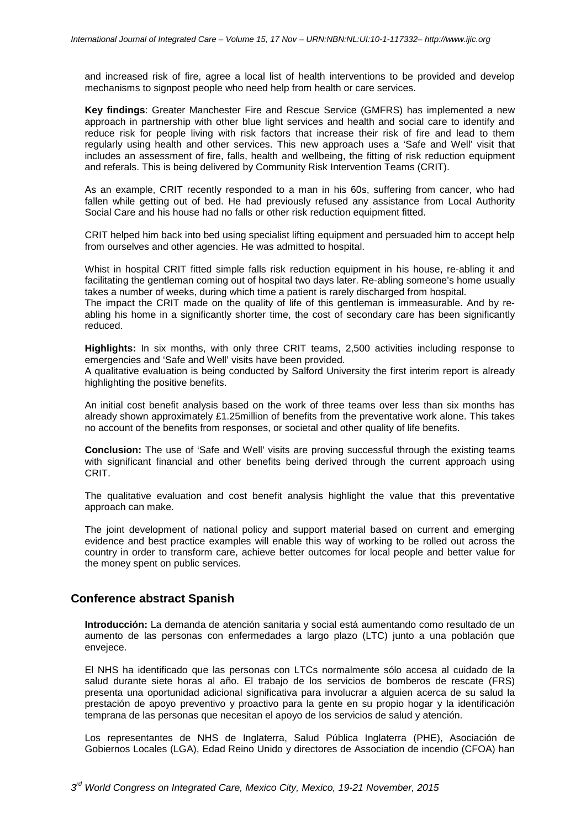and increased risk of fire, agree a local list of health interventions to be provided and develop mechanisms to signpost people who need help from health or care services.

**Key findings**: Greater Manchester Fire and Rescue Service (GMFRS) has implemented a new approach in partnership with other blue light services and health and social care to identify and reduce risk for people living with risk factors that increase their risk of fire and lead to them regularly using health and other services. This new approach uses a 'Safe and Well' visit that includes an assessment of fire, falls, health and wellbeing, the fitting of risk reduction equipment and referals. This is being delivered by Community Risk Intervention Teams (CRIT).

As an example, CRIT recently responded to a man in his 60s, suffering from cancer, who had fallen while getting out of bed. He had previously refused any assistance from Local Authority Social Care and his house had no falls or other risk reduction equipment fitted.

CRIT helped him back into bed using specialist lifting equipment and persuaded him to accept help from ourselves and other agencies. He was admitted to hospital.

Whist in hospital CRIT fitted simple falls risk reduction equipment in his house, re-abling it and facilitating the gentleman coming out of hospital two days later. Re-abling someone's home usually takes a number of weeks, during which time a patient is rarely discharged from hospital.

The impact the CRIT made on the quality of life of this gentleman is immeasurable. And by reabling his home in a significantly shorter time, the cost of secondary care has been significantly reduced.

**Highlights:** In six months, with only three CRIT teams, 2,500 activities including response to emergencies and 'Safe and Well' visits have been provided.

A qualitative evaluation is being conducted by Salford University the first interim report is already highlighting the positive benefits.

An initial cost benefit analysis based on the work of three teams over less than six months has already shown approximately £1.25million of benefits from the preventative work alone. This takes no account of the benefits from responses, or societal and other quality of life benefits.

**Conclusion:** The use of 'Safe and Well' visits are proving successful through the existing teams with significant financial and other benefits being derived through the current approach using CRIT.

The qualitative evaluation and cost benefit analysis highlight the value that this preventative approach can make.

The joint development of national policy and support material based on current and emerging evidence and best practice examples will enable this way of working to be rolled out across the country in order to transform care, achieve better outcomes for local people and better value for the money spent on public services.

#### **Conference abstract Spanish**

**Introducción:** La demanda de atención sanitaria y social está aumentando como resultado de un aumento de las personas con enfermedades a largo plazo (LTC) junto a una población que envejece.

El NHS ha identificado que las personas con LTCs normalmente sólo accesa al cuidado de la salud durante siete horas al año. El trabajo de los servicios de bomberos de rescate (FRS) presenta una oportunidad adicional significativa para involucrar a alguien acerca de su salud la prestación de apoyo preventivo y proactivo para la gente en su propio hogar y la identificación temprana de las personas que necesitan el apoyo de los servicios de salud y atención.

Los representantes de NHS de Inglaterra, Salud Pública Inglaterra (PHE), Asociación de Gobiernos Locales (LGA), Edad Reino Unido y directores de Association de incendio (CFOA) han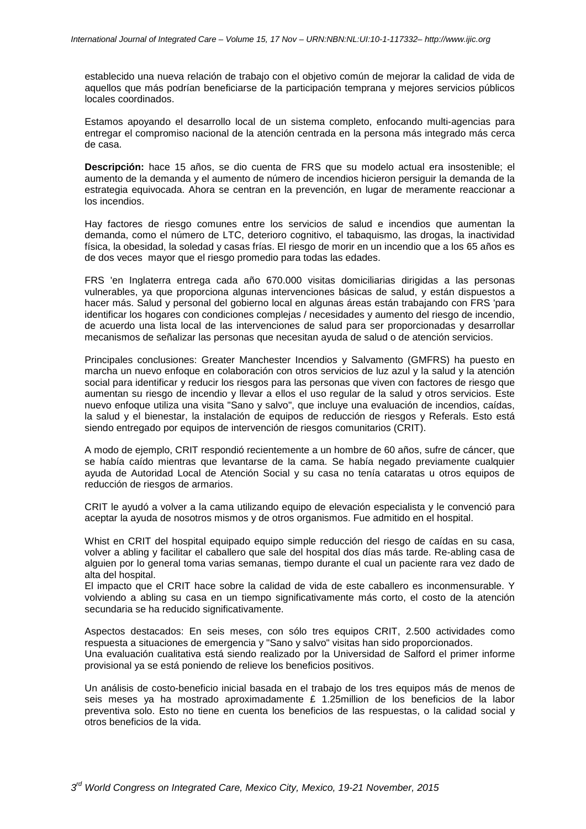establecido una nueva relación de trabajo con el objetivo común de mejorar la calidad de vida de aquellos que más podrían beneficiarse de la participación temprana y mejores servicios públicos locales coordinados.

Estamos apoyando el desarrollo local de un sistema completo, enfocando multi-agencias para entregar el compromiso nacional de la atención centrada en la persona más integrado más cerca de casa.

**Descripción:** hace 15 años, se dio cuenta de FRS que su modelo actual era insostenible; el aumento de la demanda y el aumento de número de incendios hicieron persiguir la demanda de la estrategia equivocada. Ahora se centran en la prevención, en lugar de meramente reaccionar a los incendios.

Hay factores de riesgo comunes entre los servicios de salud e incendios que aumentan la demanda, como el número de LTC, deterioro cognitivo, el tabaquismo, las drogas, la inactividad física, la obesidad, la soledad y casas frías. El riesgo de morir en un incendio que a los 65 años es de dos veces mayor que el riesgo promedio para todas las edades.

FRS 'en Inglaterra entrega cada año 670.000 visitas domiciliarias dirigidas a las personas vulnerables, ya que proporciona algunas intervenciones básicas de salud, y están dispuestos a hacer más. Salud y personal del gobierno local en algunas áreas están trabajando con FRS 'para identificar los hogares con condiciones complejas / necesidades y aumento del riesgo de incendio, de acuerdo una lista local de las intervenciones de salud para ser proporcionadas y desarrollar mecanismos de señalizar las personas que necesitan ayuda de salud o de atención servicios.

Principales conclusiones: Greater Manchester Incendios y Salvamento (GMFRS) ha puesto en marcha un nuevo enfoque en colaboración con otros servicios de luz azul y la salud y la atención social para identificar y reducir los riesgos para las personas que viven con factores de riesgo que aumentan su riesgo de incendio y llevar a ellos el uso regular de la salud y otros servicios. Este nuevo enfoque utiliza una visita "Sano y salvo", que incluye una evaluación de incendios, caídas, la salud y el bienestar, la instalación de equipos de reducción de riesgos y Referals. Esto está siendo entregado por equipos de intervención de riesgos comunitarios (CRIT).

A modo de ejemplo, CRIT respondió recientemente a un hombre de 60 años, sufre de cáncer, que se había caído mientras que levantarse de la cama. Se había negado previamente cualquier ayuda de Autoridad Local de Atención Social y su casa no tenía cataratas u otros equipos de reducción de riesgos de armarios.

CRIT le ayudó a volver a la cama utilizando equipo de elevación especialista y le convenció para aceptar la ayuda de nosotros mismos y de otros organismos. Fue admitido en el hospital.

Whist en CRIT del hospital equipado equipo simple reducción del riesgo de caídas en su casa, volver a abling y facilitar el caballero que sale del hospital dos días más tarde. Re-abling casa de alguien por lo general toma varias semanas, tiempo durante el cual un paciente rara vez dado de alta del hospital.

El impacto que el CRIT hace sobre la calidad de vida de este caballero es inconmensurable. Y volviendo a abling su casa en un tiempo significativamente más corto, el costo de la atención secundaria se ha reducido significativamente.

Aspectos destacados: En seis meses, con sólo tres equipos CRIT, 2.500 actividades como respuesta a situaciones de emergencia y "Sano y salvo" visitas han sido proporcionados. Una evaluación cualitativa está siendo realizado por la Universidad de Salford el primer informe provisional ya se está poniendo de relieve los beneficios positivos.

Un análisis de costo-beneficio inicial basada en el trabajo de los tres equipos más de menos de seis meses ya ha mostrado aproximadamente £ 1.25million de los beneficios de la labor preventiva solo. Esto no tiene en cuenta los beneficios de las respuestas, o la calidad social y otros beneficios de la vida.